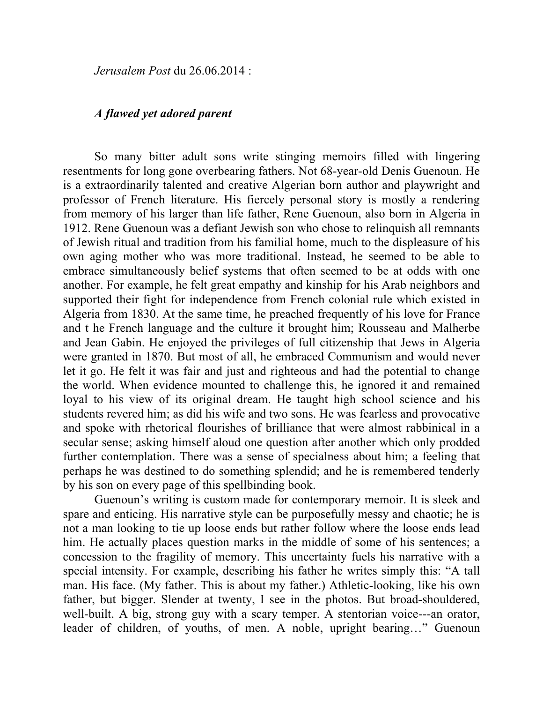*Jerusalem Post* du 26.06.2014 :

## *A flawed yet adored parent*

So many bitter adult sons write stinging memoirs filled with lingering resentments for long gone overbearing fathers. Not 68-year-old Denis Guenoun. He is a extraordinarily talented and creative Algerian born author and playwright and professor of French literature. His fiercely personal story is mostly a rendering from memory of his larger than life father, Rene Guenoun, also born in Algeria in 1912. Rene Guenoun was a defiant Jewish son who chose to relinquish all remnants of Jewish ritual and tradition from his familial home, much to the displeasure of his own aging mother who was more traditional. Instead, he seemed to be able to embrace simultaneously belief systems that often seemed to be at odds with one another. For example, he felt great empathy and kinship for his Arab neighbors and supported their fight for independence from French colonial rule which existed in Algeria from 1830. At the same time, he preached frequently of his love for France and t he French language and the culture it brought him; Rousseau and Malherbe and Jean Gabin. He enjoyed the privileges of full citizenship that Jews in Algeria were granted in 1870. But most of all, he embraced Communism and would never let it go. He felt it was fair and just and righteous and had the potential to change the world. When evidence mounted to challenge this, he ignored it and remained loyal to his view of its original dream. He taught high school science and his students revered him; as did his wife and two sons. He was fearless and provocative and spoke with rhetorical flourishes of brilliance that were almost rabbinical in a secular sense; asking himself aloud one question after another which only prodded further contemplation. There was a sense of specialness about him; a feeling that perhaps he was destined to do something splendid; and he is remembered tenderly by his son on every page of this spellbinding book.

Guenoun's writing is custom made for contemporary memoir. It is sleek and spare and enticing. His narrative style can be purposefully messy and chaotic; he is not a man looking to tie up loose ends but rather follow where the loose ends lead him. He actually places question marks in the middle of some of his sentences; a concession to the fragility of memory. This uncertainty fuels his narrative with a special intensity. For example, describing his father he writes simply this: "A tall man. His face. (My father. This is about my father.) Athletic-looking, like his own father, but bigger. Slender at twenty, I see in the photos. But broad-shouldered, well-built. A big, strong guy with a scary temper. A stentorian voice---an orator, leader of children, of youths, of men. A noble, upright bearing…" Guenoun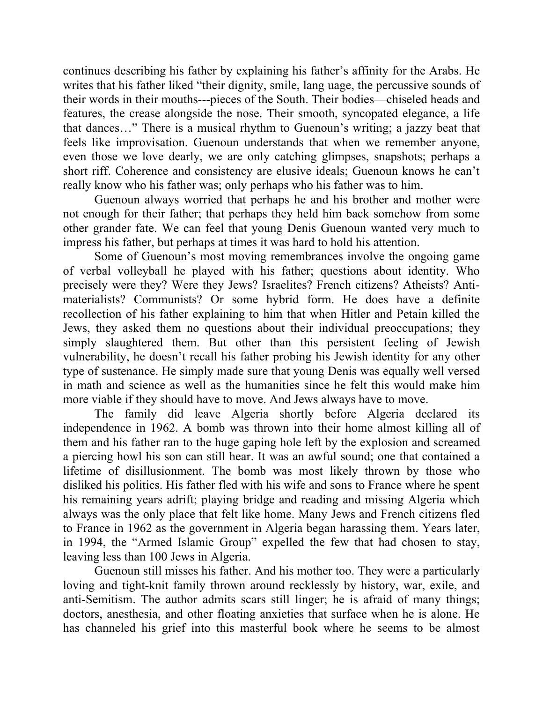continues describing his father by explaining his father's affinity for the Arabs. He writes that his father liked "their dignity, smile, lang uage, the percussive sounds of their words in their mouths---pieces of the South. Their bodies—chiseled heads and features, the crease alongside the nose. Their smooth, syncopated elegance, a life that dances…" There is a musical rhythm to Guenoun's writing; a jazzy beat that feels like improvisation. Guenoun understands that when we remember anyone, even those we love dearly, we are only catching glimpses, snapshots; perhaps a short riff. Coherence and consistency are elusive ideals; Guenoun knows he can't really know who his father was; only perhaps who his father was to him.

Guenoun always worried that perhaps he and his brother and mother were not enough for their father; that perhaps they held him back somehow from some other grander fate. We can feel that young Denis Guenoun wanted very much to impress his father, but perhaps at times it was hard to hold his attention.

Some of Guenoun's most moving remembrances involve the ongoing game of verbal volleyball he played with his father; questions about identity. Who precisely were they? Were they Jews? Israelites? French citizens? Atheists? Antimaterialists? Communists? Or some hybrid form. He does have a definite recollection of his father explaining to him that when Hitler and Petain killed the Jews, they asked them no questions about their individual preoccupations; they simply slaughtered them. But other than this persistent feeling of Jewish vulnerability, he doesn't recall his father probing his Jewish identity for any other type of sustenance. He simply made sure that young Denis was equally well versed in math and science as well as the humanities since he felt this would make him more viable if they should have to move. And Jews always have to move.

The family did leave Algeria shortly before Algeria declared its independence in 1962. A bomb was thrown into their home almost killing all of them and his father ran to the huge gaping hole left by the explosion and screamed a piercing howl his son can still hear. It was an awful sound; one that contained a lifetime of disillusionment. The bomb was most likely thrown by those who disliked his politics. His father fled with his wife and sons to France where he spent his remaining years adrift; playing bridge and reading and missing Algeria which always was the only place that felt like home. Many Jews and French citizens fled to France in 1962 as the government in Algeria began harassing them. Years later, in 1994, the "Armed Islamic Group" expelled the few that had chosen to stay, leaving less than 100 Jews in Algeria.

Guenoun still misses his father. And his mother too. They were a particularly loving and tight-knit family thrown around recklessly by history, war, exile, and anti-Semitism. The author admits scars still linger; he is afraid of many things; doctors, anesthesia, and other floating anxieties that surface when he is alone. He has channeled his grief into this masterful book where he seems to be almost